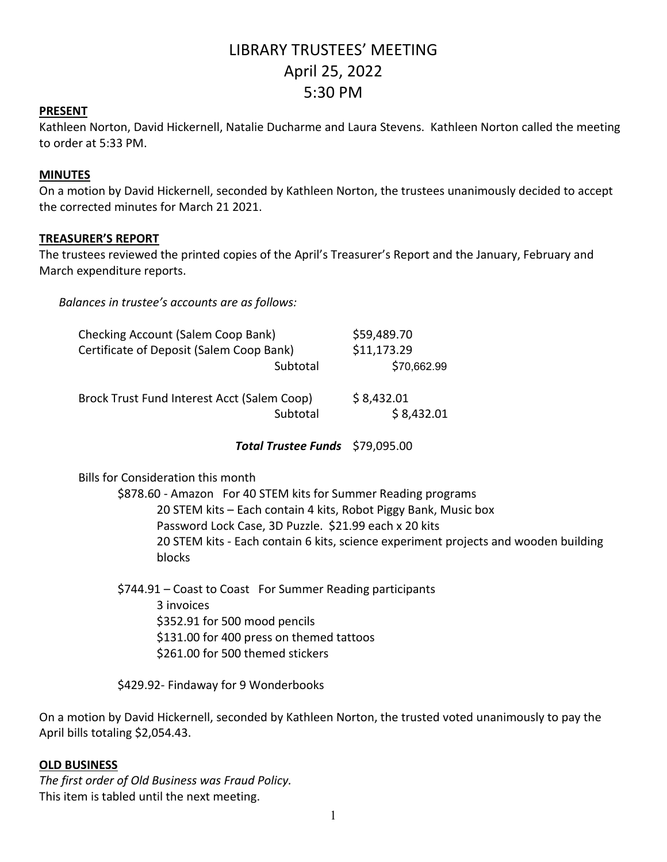# LIBRARY TRUSTEES' MEETING April 25, 2022 5:30 PM

## **PRESENT**

Kathleen Norton, David Hickernell, Natalie Ducharme and Laura Stevens. Kathleen Norton called the meeting to order at 5:33 PM.

#### **MINUTES**

On a motion by David Hickernell, seconded by Kathleen Norton, the trustees unanimously decided to accept the corrected minutes for March 21 2021.

## **TREASURER'S REPORT**

The trustees reviewed the printed copies of the April's Treasurer's Report and the January, February and March expenditure reports.

*Balances in trustee's accounts are as follows:*

| <b>Checking Account (Salem Coop Bank)</b>   |          | \$59,489.70 |
|---------------------------------------------|----------|-------------|
| Certificate of Deposit (Salem Coop Bank)    |          | \$11,173.29 |
|                                             | Subtotal | \$70,662.99 |
| Brock Trust Fund Interest Acct (Salem Coop) |          | \$8,432.01  |
|                                             | Subtotal | \$8,432.01  |

*Total Trustee Funds* \$79,095.00

Bills for Consideration this month

\$878.60 - Amazon For 40 STEM kits for Summer Reading programs 20 STEM kits – Each contain 4 kits, Robot Piggy Bank, Music box Password Lock Case, 3D Puzzle. \$21.99 each x 20 kits 20 STEM kits - Each contain 6 kits, science experiment projects and wooden building blocks

\$744.91 – Coast to Coast For Summer Reading participants 3 invoices \$352.91 for 500 mood pencils \$131.00 for 400 press on themed tattoos \$261.00 for 500 themed stickers

\$429.92- Findaway for 9 Wonderbooks

On a motion by David Hickernell, seconded by Kathleen Norton, the trusted voted unanimously to pay the April bills totaling \$2,054.43.

## **OLD BUSINESS**

*The first order of Old Business was Fraud Policy.* This item is tabled until the next meeting.